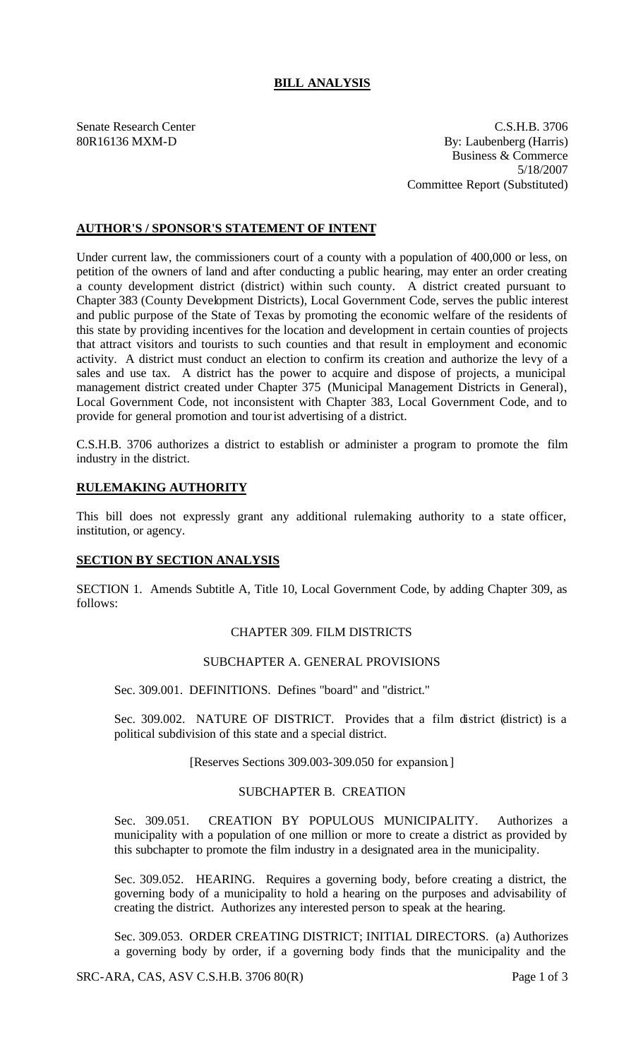# **BILL ANALYSIS**

Senate Research Center C.S.H.B. 3706 80R16136 MXM-D By: Laubenberg (Harris) Business & Commerce 5/18/2007 Committee Report (Substituted)

## **AUTHOR'S / SPONSOR'S STATEMENT OF INTENT**

Under current law, the commissioners court of a county with a population of 400,000 or less, on petition of the owners of land and after conducting a public hearing, may enter an order creating a county development district (district) within such county. A district created pursuant to Chapter 383 (County Development Districts), Local Government Code, serves the public interest and public purpose of the State of Texas by promoting the economic welfare of the residents of this state by providing incentives for the location and development in certain counties of projects that attract visitors and tourists to such counties and that result in employment and economic activity. A district must conduct an election to confirm its creation and authorize the levy of a sales and use tax. A district has the power to acquire and dispose of projects, a municipal management district created under Chapter 375 (Municipal Management Districts in General), Local Government Code, not inconsistent with Chapter 383, Local Government Code, and to provide for general promotion and tourist advertising of a district.

C.S.H.B. 3706 authorizes a district to establish or administer a program to promote the film industry in the district.

#### **RULEMAKING AUTHORITY**

This bill does not expressly grant any additional rulemaking authority to a state officer, institution, or agency.

#### **SECTION BY SECTION ANALYSIS**

SECTION 1. Amends Subtitle A, Title 10, Local Government Code, by adding Chapter 309, as follows:

#### CHAPTER 309. FILM DISTRICTS

#### SUBCHAPTER A. GENERAL PROVISIONS

Sec. 309.001. DEFINITIONS. Defines "board" and "district."

Sec. 309.002. NATURE OF DISTRICT. Provides that a film district (district) is a political subdivision of this state and a special district.

[Reserves Sections 309.003-309.050 for expansion.]

### SUBCHAPTER B. CREATION

Sec. 309.051. CREATION BY POPULOUS MUNICIPALITY. Authorizes a municipality with a population of one million or more to create a district as provided by this subchapter to promote the film industry in a designated area in the municipality.

Sec. 309.052. HEARING. Requires a governing body, before creating a district, the governing body of a municipality to hold a hearing on the purposes and advisability of creating the district. Authorizes any interested person to speak at the hearing.

Sec. 309.053. ORDER CREATING DISTRICT; INITIAL DIRECTORS. (a) Authorizes a governing body by order, if a governing body finds that the municipality and the

SRC-ARA, CAS, ASV C.S.H.B. 3706 80(R) Page 1 of 3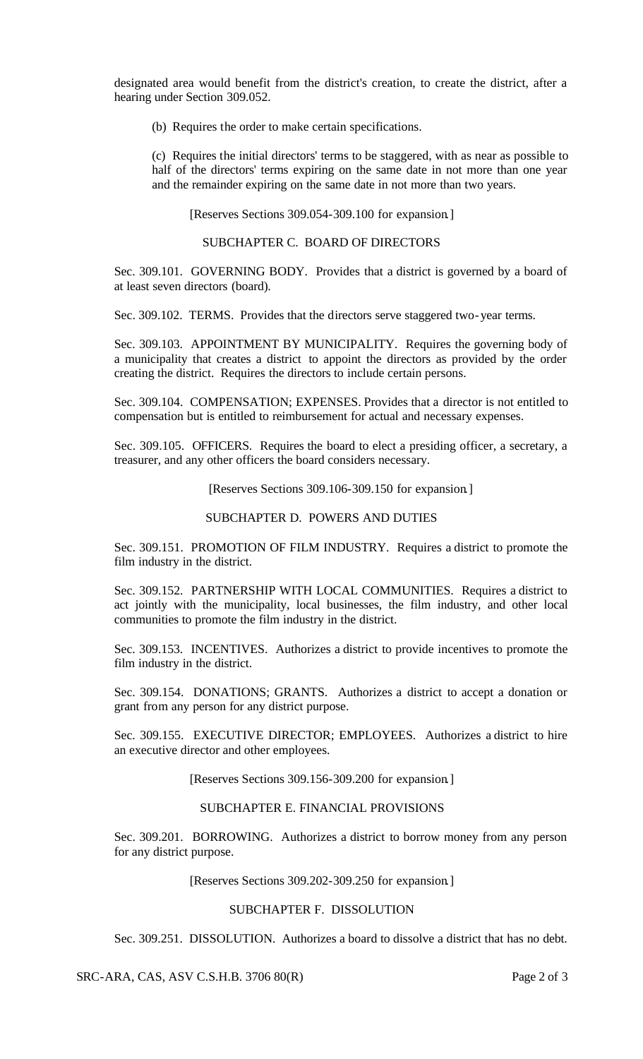designated area would benefit from the district's creation, to create the district, after a hearing under Section 309.052.

(b) Requires the order to make certain specifications.

(c) Requires the initial directors' terms to be staggered, with as near as possible to half of the directors' terms expiring on the same date in not more than one year and the remainder expiring on the same date in not more than two years.

[Reserves Sections 309.054-309.100 for expansion.]

SUBCHAPTER C. BOARD OF DIRECTORS

Sec. 309.101. GOVERNING BODY. Provides that a district is governed by a board of at least seven directors (board).

Sec. 309.102. TERMS. Provides that the directors serve staggered two-year terms.

Sec. 309.103. APPOINTMENT BY MUNICIPALITY. Requires the governing body of a municipality that creates a district to appoint the directors as provided by the order creating the district. Requires the directors to include certain persons.

Sec. 309.104. COMPENSATION; EXPENSES. Provides that a director is not entitled to compensation but is entitled to reimbursement for actual and necessary expenses.

Sec. 309.105. OFFICERS. Requires the board to elect a presiding officer, a secretary, a treasurer, and any other officers the board considers necessary.

[Reserves Sections 309.106-309.150 for expansion.]

### SUBCHAPTER D. POWERS AND DUTIES

Sec. 309.151. PROMOTION OF FILM INDUSTRY. Requires a district to promote the film industry in the district.

Sec. 309.152. PARTNERSHIP WITH LOCAL COMMUNITIES. Requires a district to act jointly with the municipality, local businesses, the film industry, and other local communities to promote the film industry in the district.

Sec. 309.153. INCENTIVES. Authorizes a district to provide incentives to promote the film industry in the district.

Sec. 309.154. DONATIONS; GRANTS. Authorizes a district to accept a donation or grant from any person for any district purpose.

Sec. 309.155. EXECUTIVE DIRECTOR; EMPLOYEES. Authorizes a district to hire an executive director and other employees.

[Reserves Sections 309.156-309.200 for expansion.]

#### SUBCHAPTER E. FINANCIAL PROVISIONS

Sec. 309.201. BORROWING. Authorizes a district to borrow money from any person for any district purpose.

[Reserves Sections 309.202-309.250 for expansion.]

# SUBCHAPTER F. DISSOLUTION

Sec. 309.251. DISSOLUTION. Authorizes a board to dissolve a district that has no debt.

SRC-ARA, CAS, ASV C.S.H.B. 3706 80(R) Page 2 of 3